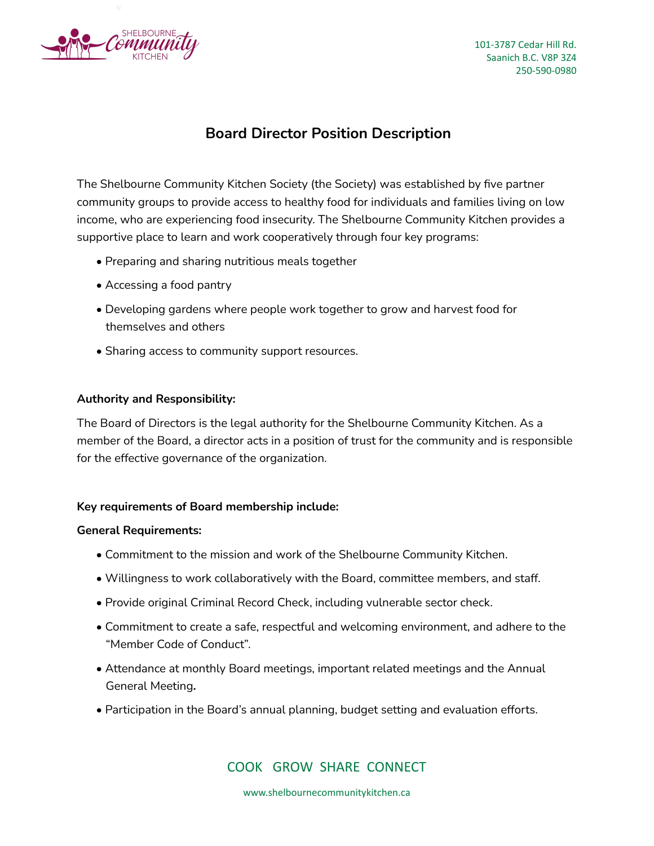

101-3787 Cedar Hill Rd. Saanich B.C. V8P 3Z4 250-590-0980

# **Board Director Position Description**

The Shelbourne Community Kitchen Society (the Society) was established by five partner community groups to provide access to healthy food for individuals and families living on low income, who are experiencing food insecurity. The Shelbourne Community Kitchen provides a supportive place to learn and work cooperatively through four key programs:

- Preparing and sharing nutritious meals together
- Accessing a food pantry
- Developing gardens where people work together to grow and harvest food for themselves and others
- Sharing access to community support resources.

### **Authority and Responsibility:**

The Board of Directors is the legal authority for the Shelbourne Community Kitchen. As a member of the Board, a director acts in a position of trust for the community and is responsible for the effective governance of the organization.

### **Key requirements of Board membership include:**

### **General Requirements:**

- Commitment to the mission and work of the Shelbourne Community Kitchen.
- Willingness to work collaboratively with the Board, committee members, and staff.
- Provide original Criminal Record Check, including vulnerable sector check.
- Commitment to create a safe, respectful and welcoming environment, and adhere to the "Member Code of Conduct".
- Attendance at monthly Board meetings, important related meetings and the Annual General Meeting**.**
- Participation in the Board's annual planning, budget setting and evaluation efforts.

## COOK GROW SHARE CONNECT

www.shelbournecommunitykitchen.ca